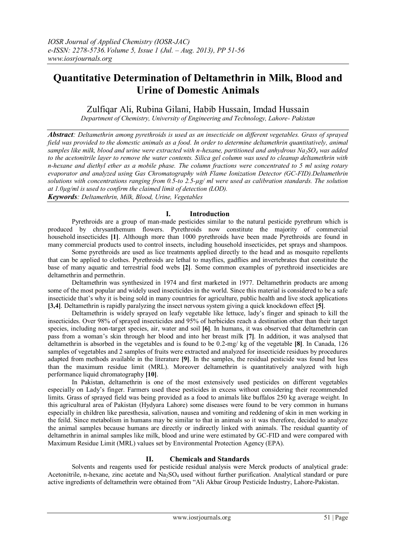# **Quantitative Determination of Deltamethrin in Milk, Blood and Urine of Domestic Animals**

## Zulfiqar Ali, Rubina Gilani, Habib Hussain, Imdad Hussain

*Department of Chemistry, University of Engineering and Technology, Lahore- Pakistan*

*Abstract: Deltamethrin among pyrethroids is used as an insecticide on different vegetables. Grass of sprayed field was provided to the domestic animals as a food. In order to determine deltamethrin quantitatively, animal samples like milk, blood and urine were extracted with n-hexane, partitioned and anhydrous Na2SO<sup>4</sup> was added to the acetonitrile layer to remove the water contents. Silica gel column was used to cleanup deltamethrin with n-hexane and diethyl ether as a mobile phase. The column fractions were concentrated to 5 ml using rotary evaporator and analyzed using Gas Chromatography with Flame Ionization Detector (GC-FID).Deltamethrin solutions with concentrations ranging from 0.5-to 2.5-µg/ ml were used as calibration standards. The solution at 1.0µg/ml is used to confirm the claimed limit of detection (LOD).*

*Keywords: Deltamethrin, Milk, Blood, Urine, Vegetables*

## **I. Introduction**

Pyrethroids are a group of man-made pesticides similar to the natural pesticide pyrethrum which is produced by chrysanthemum flowers. Pyrethroids now constitute the majority of commercial household insecticides **[1]**. Although more than 1000 pyrethroids have been made Pyrethroids are found in many commercial products used to control insects, including household insecticides, pet sprays and shampoos.

Some pyrethroids are used as lice treatments applied directly to the head and as mosquito repellents that can be applied to clothes. Pyrethroids are lethal to mayflies, gadflies and invertebrates that constitute the base of many aquatic and terrestrial food webs **[2]**. Some common examples of pyrethroid insecticides are deltamethrin and permethrin.

Deltamethrin was synthesized in 1974 and first marketed in 1977. Deltamethrin products are among some of the most popular and widely used insecticides in the world. Since this material is considered to be a safe insecticide that's why it is being sold in many countries for agriculture, public health and live stock applications **[3,4]**. Deltamethrin is rapidly paralyzing the insect nervous system giving a quick knockdown effect **[5]**.

Deltamethrin is widely sprayed on leafy vegetable like lettuce, lady's finger and spinach to kill the insecticides. Over 98% of sprayed insecticides and 95% of herbicides reach a destination other than their target species, including non-target species, air, water and soil **[6]**. In humans, it was observed that deltamethrin can pass from a woman's skin through her blood and into her breast milk **[7]**. In addition, it was analysed that deltamethrin is absorbed in the vegetables and is found to be 0.2-mg/ kg of the vegetable **[8]**. In Canada, 126 samples of vegetables and 2 samples of fruits were extracted and analyzed for insecticide residues by procedures adapted from methods available in the literature **[9]**. In the samples, the residual pesticide was found but less than the maximum residue limit (MRL). Moreover deltamethrin is quantitatively analyzed with high performance liquid chromatography **[10]**.

In Pakistan, deltamethrin is one of the most extensively used pesticides on different vegetables especially on Lady's finger. Farmers used these pesticides in excess without considering their recommended limits. Grass of sprayed field was being provided as a food to animals like buffalos 250 kg average weight. In this agricultural area of Pakistan (Hydyara Lahore) some diseases were found to be very common in humans especially in children like paresthesia, salivation, nausea and vomiting and reddening of skin in men working in the feild. Since metabolism in humans may be similar to that in animals so it was therefore, decided to analyze the animal samples because humans are directly or indirectly linked with animals. The residual quantity of deltamethrin in animal samples like milk, blood and urine were estimated by GC-FID and were compared with Maximum Residue Limit (MRL) values set by Environmental Protection Agency (EPA).

## **II. Chemicals and Standards**

Solvents and reagents used for pesticide residual analysis were Merck products of analytical grade: Acetonitrile, n-hexane, zinc acetate and Na2SO4 used without further purification. Analytical standard or pure active ingredients of deltamethrin were obtained from "Ali Akbar Group Pesticide Industry, Lahore-Pakistan.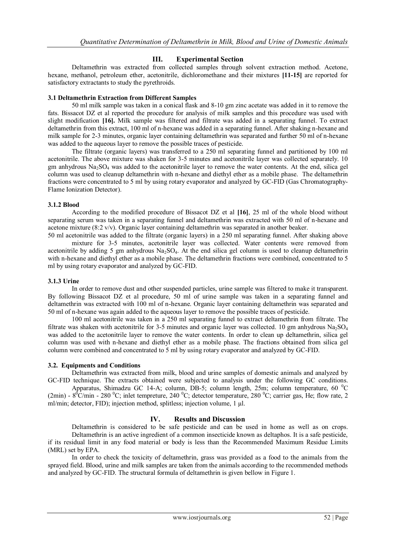## **III. Experimental Section**

Deltamethrin was extracted from collected samples through solvent extraction method. Acetone, hexane, methanol, petroleum ether, acetonitrile, dichloromethane and their mixtures **[11-15]** are reported for satisfactory extractants to study the pyrethroids.

#### **3.1 Deltamethrin Extraction from Different Samples**

50 ml milk sample was taken in a conical flask and 8-10 gm zinc acetate was added in it to remove the fats. Bissacot DZ et al reported the procedure for analysis of milk samples and this procedure was used with slight modification **[16].** Milk sample was filtered and filtrate was added in a separating funnel. To extract deltamethrin from this extract, 100 ml of n-hexane was added in a separating funnel. After shaking n-hexane and milk sample for 2-3 minutes, organic layer containing deltamethrin was separated and further 50 ml of n-hexane was added to the aqueous layer to remove the possible traces of pesticide.

The filtrate (organic layers) was transferred to a 250 ml separating funnel and partitioned by 100 ml acetonitrile. The above mixture was shaken for 3-5 minutes and acetonitrile layer was collected separately. 10 gm anhydrous  $Na<sub>2</sub>SO<sub>4</sub>$  was added to the acetonitrile layer to remove the water contents. At the end, silica gel column was used to cleanup deltamethrin with n-hexane and diethyl ether as a mobile phase. The deltamethrin fractions were concentrated to 5 ml by using rotary evaporator and analyzed by GC-FID (Gas Chromatography-Flame Ionization Detector).

#### **3.1.2 Blood**

According to the modified procedure of Bissacot DZ et al **[16]**, 25 ml of the whole blood without separating serum was taken in a separating funnel and deltamethrin was extracted with 50 ml of n-hexane and acetone mixture (8:2 v/v). Organic layer containing deltamethrin was separated in another beaker.

50 ml acetonitrile was added to the filtrate (organic layers) in a 250 ml separating funnel. After shaking above mixture for 3-5 minutes, acetonitrile layer was collected. Water contents were removed from acetonitrile by adding 5 gm anhydrous Na2SO4. At the end silica gel column is used to cleanup deltamethrin with n-hexane and diethyl ether as a mobile phase. The deltamethrin fractions were combined, concentrated to 5 ml by using rotary evaporator and analyzed by GC-FID.

#### **3.1.3 Urine**

In order to remove dust and other suspended particles, urine sample was filtered to make it transparent. By following Bissacot DZ et al procedure, 50 ml of urine sample was taken in a separating funnel and deltamethrin was extracted with 100 ml of n-hexane. Organic layer containing deltamethrin was separated and 50 ml of n-hexane was again added to the aqueous layer to remove the possible traces of pesticide.

100 ml acetonitrile was taken in a 250 ml separating funnel to extract deltamethrin from filtrate. The filtrate was shaken with acetonitrile for 3-5 minutes and organic layer was collected. 10 gm anhydrous  $Na<sub>2</sub>SO<sub>4</sub>$ was added to the acetonitrile layer to remove the water contents. In order to clean up deltamethrin, silica gel column was used with n-hexane and diethyl ether as a mobile phase. The fractions obtained from silica gel column were combined and concentrated to 5 ml by using rotary evaporator and analyzed by GC-FID.

## **3.2. Equipments and Conditions**

Deltamethrin was extracted from milk, blood and urine samples of domestic animals and analyzed by GC-FID technique. The extracts obtained were subjected to analysis under the following GC conditions.

Apparatus, Shimadzu GC 14-A; column, DB-5; column length, 25m; column temperature, 60 °C (2min) -  $8^{\circ}$ C/min - 280  $^{\circ}$ C; inlet tempreture, 240  $^{\circ}$ C; detector temperature, 280  $^{\circ}$ C; carrier gas, He; flow rate, 2 ml/min; detector, FID); injection method, splitless; injection volume, 1 µl.

## **IV. Results and Discussion**

Deltamethrin is considered to be safe pesticide and can be used in home as well as on crops. Deltamethrin is an active ingredient of a common insecticide known as deltaphos. It is a safe pesticide, if its residual limit in any food material or body is less than the Recommended Maximum Residue Limits (MRL) set by EPA.

In order to check the toxicity of deltamethrin, grass was provided as a food to the animals from the sprayed field. Blood, urine and milk samples are taken from the animals according to the recommended methods and analyzed by GC-FID. The structural formula of deltamethrin is given bellow in Figure 1.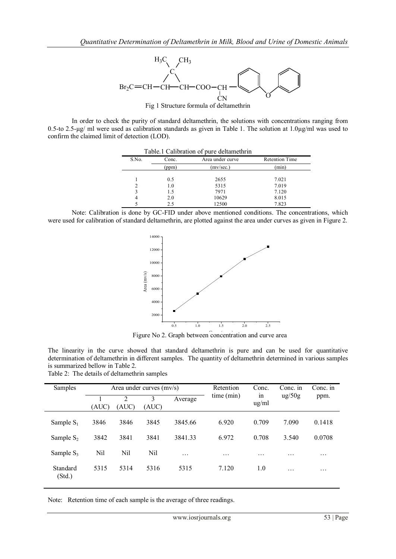

In order to check the purity of standard deltamethrin, the solutions with concentrations ranging from 0.5-to 2.5-µg/ ml were used as calibration standards as given in Table 1. The solution at  $1.0\mu$ g/ml was used to confirm the claimed limit of detection (LOD).

| Table.1 Calibration of pure deltamethrin |       |                  |                       |  |
|------------------------------------------|-------|------------------|-----------------------|--|
| S.No.                                    | Conc. | Area under curve | <b>Retention Time</b> |  |
|                                          | (ppm) | (mv/sec.)        | (min)                 |  |
|                                          |       |                  |                       |  |
|                                          | 0.5   | 2655             | 7.021                 |  |
|                                          | 1.0   | 5315             | 7.019                 |  |
|                                          | 1.5   | 7971             | 7.120                 |  |
| 4                                        | 2.0   | 10629            | 8.015                 |  |
|                                          | 2.5   | 12500            | 7.823                 |  |

Note: Calibration is done by GC-FID under above mentioned conditions. The concentrations, which were used for calibration of standard deltamethrin, are plotted against the area under curves as given in Figure 2.



Figure No 2. Graph between concentration and curve area

The linearity in the curve showed that standard deltamethrin is pure and can be used for quantitative determination of deltamethrin in different samples. The quantity of deltamethrin determined in various samples is summarized bellow in Table 2.

| Samples            |       | Area under curves (mv/s) |            |         | Retention  | Conc.            | Conc. in                 | Conc. in |
|--------------------|-------|--------------------------|------------|---------|------------|------------------|--------------------------|----------|
|                    | (AUC) | $\overline{2}$<br>(AUC)  | 3<br>(AUC) | Average | time (min) | 1n<br>$\mu$ g/ml | $\frac{\text{ug}}{50}$ g | ppm.     |
| Sample $S_1$       | 3846  | 3846                     | 3845       | 3845.66 | 6.920      | 0.709            | 7.090                    | 0.1418   |
| Sample $S_2$       | 3842  | 3841                     | 3841       | 3841.33 | 6.972      | 0.708            | 3.540                    | 0.0708   |
| Sample $S_3$       | Nil   | Nil                      | Nil        | .       | $\cdot$    | $\cdots$         | $\cdot\cdot\cdot$        | .        |
| Standard<br>(Std.) | 5315  | 5314                     | 5316       | 5315    | 7.120      | 1.0              | .                        | .        |

Table 2: The details of deltamethrin samples

Note: Retention time of each sample is the average of three readings.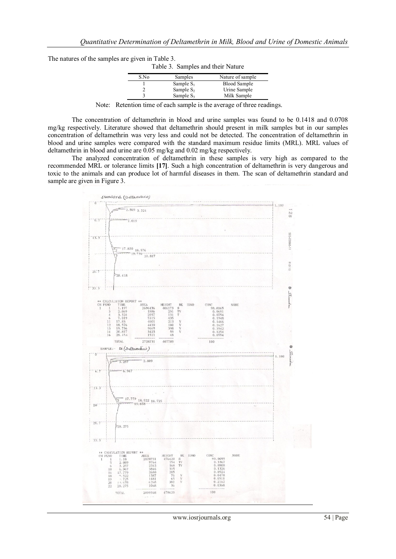| The natures of the samples are given in Table 3. |  |  |  |
|--------------------------------------------------|--|--|--|
|                                                  |  |  |  |

| Table 3. Samples and their Nature |              |                     |  |
|-----------------------------------|--------------|---------------------|--|
| S.No                              | Samples      | Nature of sample    |  |
|                                   | Sample $S_1$ | <b>Blood Sample</b> |  |
|                                   | Sample $S_2$ | Urine Sample        |  |
|                                   | Sample $S_3$ | Milk Sample         |  |

Note: Retention time of each sample is the average of three readings.

The concentration of deltamethrin in blood and urine samples was found to be 0.1418 and 0.0708 mg/kg respectively. Literature showed that deltamethrin should present in milk samples but in our samples concentration of deltamethrin was very less and could not be detected. The concentration of deltamethrin in blood and urine samples were compared with the standard maximum residue limits (MRL). MRL values of deltamethrin in blood and urine are 0.05 mg/kg and 0.02 mg/kg respectively.

The analyzed concentration of deltamethrin in these samples is very high as compared to the recommended MRL or tolerance limits **[17]**. Such a high concentration of deltamethrin is very dangerous and toxic to the animals and can produce lot of harmful diseases in them. The scan of deltamethrin standard and sample are given in Figure 3.



www.iosrjournals.org 54 | Page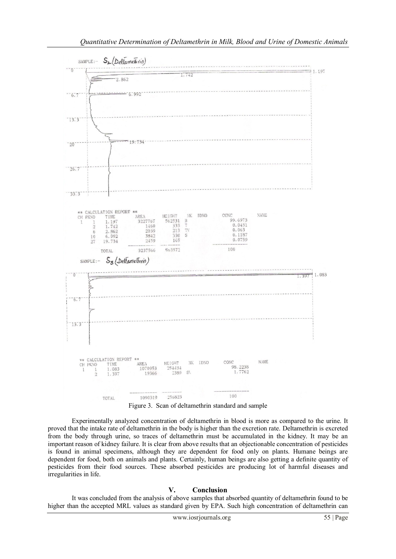

Experimentally analyzed concentration of deltamethrin in blood is more as compared to the urine. It proved that the intake rate of deltamethrin in the body is higher than the excretion rate. Deltamethrin is excreted from the body through urine, so traces of deltamethrin must be accumulated in the kidney. It may be an important reason of kidney failure. It is clear from above results that an objectionable concentration of pesticides is found in animal specimens, although they are dependent for food only on plants. Humane beings are dependent for food, both on animals and plants. Certainly, human beings are also getting a definite quantity of pesticides from their food sources. These absorbed pesticides are producing lot of harmful diseases and irregularities in life.

## **V. Conclusion**

It was concluded from the analysis of above samples that absorbed quantity of deltamethrin found to be higher than the accepted MRL values as standard given by EPA. Such high concentration of deltamethrin can